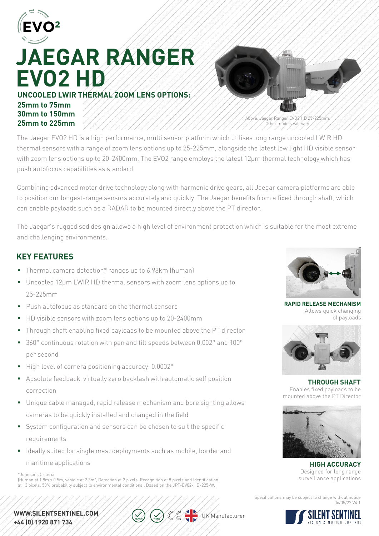

# **JAEGAR RANGER EVO2 HD UNCOOLED LWIR THERMAL ZOOM LENS OPTIONS:**

### **25mm to 75mm 30mm to 150mm 25mm to 225mm**



Above: Jaegar Ranger EVO2 HD 25-225mm. Other models will vary.

The Jaegar EVO2 HD is a high performance, multi sensor platform which utilises long range uncooled LWIR HD thermal sensors with a range of zoom lens options up to 25-225mm, alongside the latest low light HD visible sensor with zoom lens options up to 20-2400mm. The EVO2 range employs the latest 12μm thermal technology which has push autofocus capabilities as standard.

Combining advanced motor drive technology along with harmonic drive gears, all Jaegar camera platforms are able to position our longest-range sensors accurately and quickly. The Jaegar benefits from a fixed through shaft, which can enable payloads such as a RADAR to be mounted directly above the PT director.

The Jaegar's ruggedised design allows a high level of environment protection which is suitable for the most extreme and challenging environments.

### **KEY FEATURES**

- Thermal camera detection<sup>\*</sup> ranges up to 6.98km (human)
- Uncooled 12µm LWIR HD thermal sensors with zoom lens options up to 25-225mm
- Push autofocus as standard on the thermal sensors
- HD visible sensors with zoom lens options up to 20-2400mm
- Through shaft enabling fixed payloads to be mounted above the PT director
- 360° continuous rotation with pan and tilt speeds between 0.002° and 100° per second
- High level of camera positioning accuracy: 0.0002°
- Absolute feedback, virtually zero backlash with automatic self position correction
- Unique cable managed, rapid release mechanism and bore sighting allows cameras to be quickly installed and changed in the field
- System configuration and sensors can be chosen to suit the specific requirements
- I Ideally suited for single mast deployments such as mobile, border and

#### maritime applications

surveillance applications \*Johnsons Criteria, (Human at 1.8m x 0.5m, vehicle at 2.3m², Detection at 2 pixels, Recognition at 8 pixels and Identification at 13 pixels. 50% probability subject to environmental conditions). Based on the JPT-EV02-HD-225-W.

#### WWW.SILENTSENTINEL.COM. +44 (0) 1920 871 734



**RAPID RELEASE MECHANISM** Allows quick changing of payloads



**THROUGH SHAFT** Enables fixed payloads to be mounted above the PT Director



**HIGH ACCURACY** Designed for long range

Specifications may be subject to change without notice 06/05/22 V4.1



UK Manufacturer